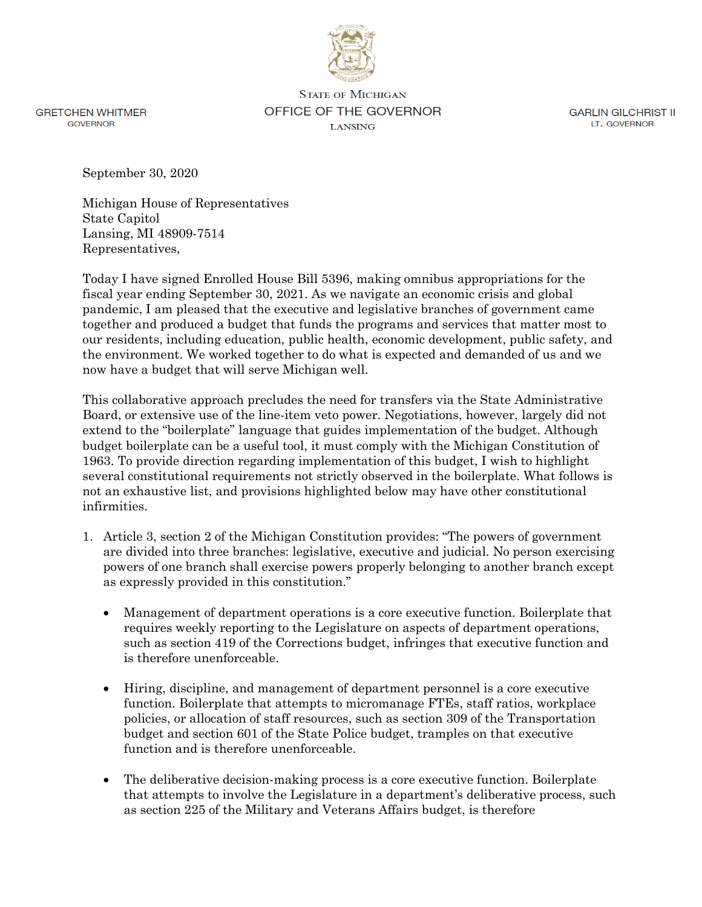

**GRETCHEN WHITMER GOVERNOR** 

**STATE OF MICHIGAN** OFFICE OF THE GOVERNOR **LANSING** 

**GARLIN GILCHRIST II** LT. GOVERNOR

September 30, 2020

Michigan House of Representatives State Capitol Lansing, MI 48909-7514 Representatives,

Today I have signed Enrolled House Bill 5396, making omnibus appropriations for the fiscal year ending September 30, 2021. As we navigate an economic crisis and global pandemic, I am pleased that the executive and legislative branches of government came together and produced a budget that funds the programs and services that matter most to our residents, including education, public health, economic development, public safety, and the environment. We worked together to do what is expected and demanded of us and we now have a budget that will serve Michigan well.

This collaborative approach precludes the need for transfers via the State Administrative Board, or extensive use of the line-item veto power. Negotiations, however, largely did not extend to the "boilerplate" language that guides implementation of the budget. Although budget boilerplate can be a useful tool, it must comply with the Michigan Constitution of 1963. To provide direction regarding implementation of this budget, I wish to highlight several constitutional requirements not strictly observed in the boilerplate. What follows is not an exhaustive list, and provisions highlighted below may have other constitutional infirmities.

- 1. Article 3, section 2 of the Michigan Constitution provides: "The powers of government are divided into three branches: legislative, executive and judicial. No person exercising powers of one branch shall exercise powers properly belonging to another branch except as expressly provided in this constitution."
	- Management of department operations is a core executive function. Boilerplate that requires weekly reporting to the Legislature on aspects of department operations, such as section 419 of the Corrections budget, infringes that executive function and is therefore unenforceable.
	- Hiring, discipline, and management of department personnel is a core executive function. Boilerplate that attempts to micromanage FTEs, staff ratios, workplace policies, or allocation of staff resources, such as section 309 of the Transportation budget and section 601 of the State Police budget, tramples on that executive function and is therefore unenforceable.
	- The deliberative decision-making process is a core executive function. Boilerplate that attempts to involve the Legislature in a department's deliberative process, such as section 225 of the Military and Veterans Affairs budget, is therefore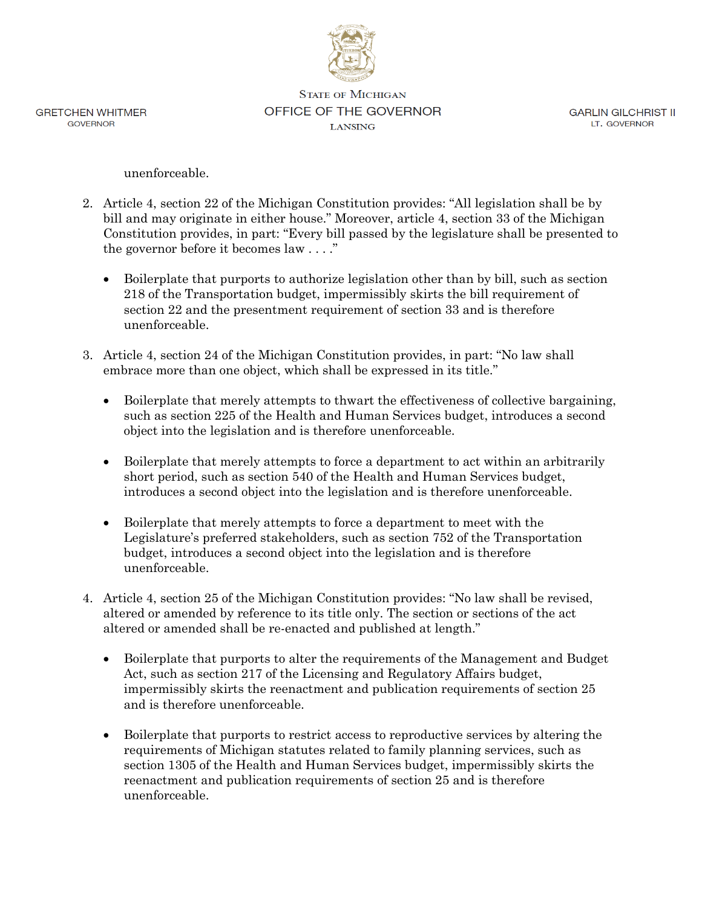

**GRETCHEN WHITMER GOVERNOR** 

**STATE OF MICHIGAN** OFFICE OF THE GOVERNOR **LANSING** 

**GARLIN GILCHRIST II** LT. GOVERNOR

unenforceable.

- 2. Article 4, section 22 of the Michigan Constitution provides: "All legislation shall be by bill and may originate in either house." Moreover, article 4, section 33 of the Michigan Constitution provides, in part: "Every bill passed by the legislature shall be presented to the governor before it becomes law . . . ."
	- Boilerplate that purports to authorize legislation other than by bill, such as section 218 of the Transportation budget, impermissibly skirts the bill requirement of section 22 and the presentment requirement of section 33 and is therefore unenforceable.
- 3. Article 4, section 24 of the Michigan Constitution provides, in part: "No law shall embrace more than one object, which shall be expressed in its title."
	- Boilerplate that merely attempts to thwart the effectiveness of collective bargaining, such as section 225 of the Health and Human Services budget, introduces a second object into the legislation and is therefore unenforceable.
	- Boilerplate that merely attempts to force a department to act within an arbitrarily short period, such as section 540 of the Health and Human Services budget, introduces a second object into the legislation and is therefore unenforceable.
	- Boilerplate that merely attempts to force a department to meet with the Legislature's preferred stakeholders, such as section 752 of the Transportation budget, introduces a second object into the legislation and is therefore unenforceable.
- 4. Article 4, section 25 of the Michigan Constitution provides: "No law shall be revised, altered or amended by reference to its title only. The section or sections of the act altered or amended shall be re-enacted and published at length."
	- Boilerplate that purports to alter the requirements of the Management and Budget Act, such as section 217 of the Licensing and Regulatory Affairs budget, impermissibly skirts the reenactment and publication requirements of section 25 and is therefore unenforceable.
	- Boilerplate that purports to restrict access to reproductive services by altering the requirements of Michigan statutes related to family planning services, such as section 1305 of the Health and Human Services budget, impermissibly skirts the reenactment and publication requirements of section 25 and is therefore unenforceable.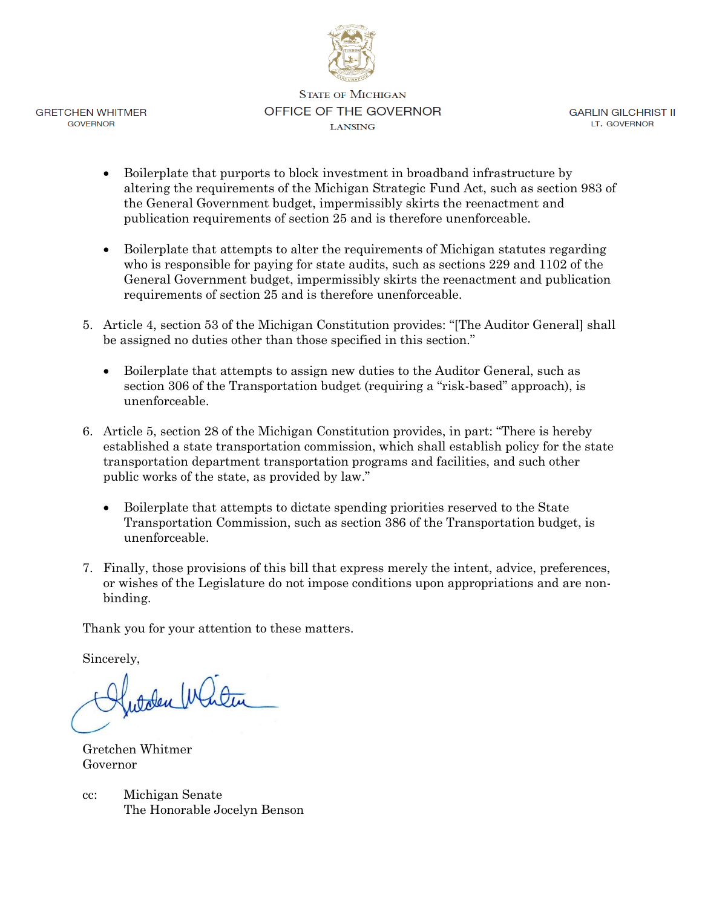

**GRETCHEN WHITMER** GOVERNOR

**STATE OF MICHIGAN** OFFICE OF THE GOVERNOR **LANSING** 

**GARLIN GILCHRIST II** LT. GOVERNOR

- Boilerplate that purports to block investment in broadband infrastructure by altering the requirements of the Michigan Strategic Fund Act, such as section 983 of the General Government budget, impermissibly skirts the reenactment and publication requirements of section 25 and is therefore unenforceable.
- Boilerplate that attempts to alter the requirements of Michigan statutes regarding who is responsible for paying for state audits, such as sections 229 and 1102 of the General Government budget, impermissibly skirts the reenactment and publication requirements of section 25 and is therefore unenforceable.
- 5. Article 4, section 53 of the Michigan Constitution provides: "[The Auditor General] shall be assigned no duties other than those specified in this section."
	- Boilerplate that attempts to assign new duties to the Auditor General, such as section 306 of the Transportation budget (requiring a "risk-based" approach), is unenforceable.
- 6. Article 5, section 28 of the Michigan Constitution provides, in part: "There is hereby established a state transportation commission, which shall establish policy for the state transportation department transportation programs and facilities, and such other public works of the state, as provided by law."
	- Boilerplate that attempts to dictate spending priorities reserved to the State Transportation Commission, such as section 386 of the Transportation budget, is unenforceable.
- 7. Finally, those provisions of this bill that express merely the intent, advice, preferences, or wishes of the Legislature do not impose conditions upon appropriations and are nonbinding.

Thank you for your attention to these matters.

Sincerely,

Autoben Window

Gretchen Whitmer Governor

cc: Michigan Senate The Honorable Jocelyn Benson